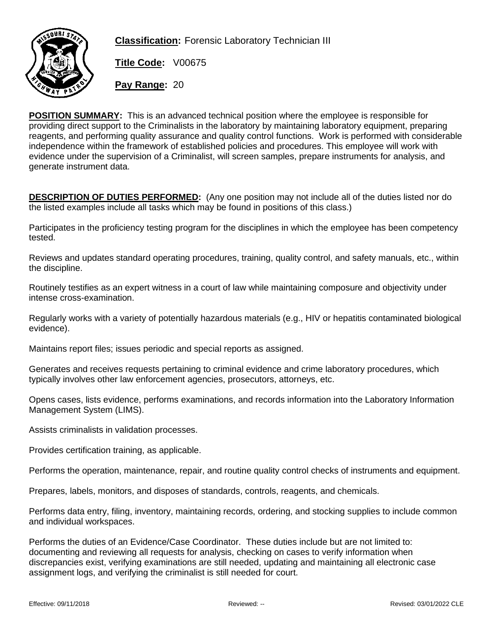

**Classification:** Forensic Laboratory Technician III

**Title Code:** V00675

**Pay Range:** 20

**POSITION SUMMARY:** This is an advanced technical position where the employee is responsible for providing direct support to the Criminalists in the laboratory by maintaining laboratory equipment, preparing reagents, and performing quality assurance and quality control functions. Work is performed with considerable independence within the framework of established policies and procedures. This employee will work with evidence under the supervision of a Criminalist, will screen samples, prepare instruments for analysis, and generate instrument data.

**DESCRIPTION OF DUTIES PERFORMED:** (Any one position may not include all of the duties listed nor do the listed examples include all tasks which may be found in positions of this class.)

Participates in the proficiency testing program for the disciplines in which the employee has been competency tested.

Reviews and updates standard operating procedures, training, quality control, and safety manuals, etc., within the discipline.

Routinely testifies as an expert witness in a court of law while maintaining composure and objectivity under intense cross-examination.

Regularly works with a variety of potentially hazardous materials (e.g., HIV or hepatitis contaminated biological evidence).

Maintains report files; issues periodic and special reports as assigned.

Generates and receives requests pertaining to criminal evidence and crime laboratory procedures, which typically involves other law enforcement agencies, prosecutors, attorneys, etc.

Opens cases, lists evidence, performs examinations, and records information into the Laboratory Information Management System (LIMS).

Assists criminalists in validation processes.

Provides certification training, as applicable.

Performs the operation, maintenance, repair, and routine quality control checks of instruments and equipment.

Prepares, labels, monitors, and disposes of standards, controls, reagents, and chemicals.

Performs data entry, filing, inventory, maintaining records, ordering, and stocking supplies to include common and individual workspaces.

Performs the duties of an Evidence/Case Coordinator. These duties include but are not limited to: documenting and reviewing all requests for analysis, checking on cases to verify information when discrepancies exist, verifying examinations are still needed, updating and maintaining all electronic case assignment logs, and verifying the criminalist is still needed for court.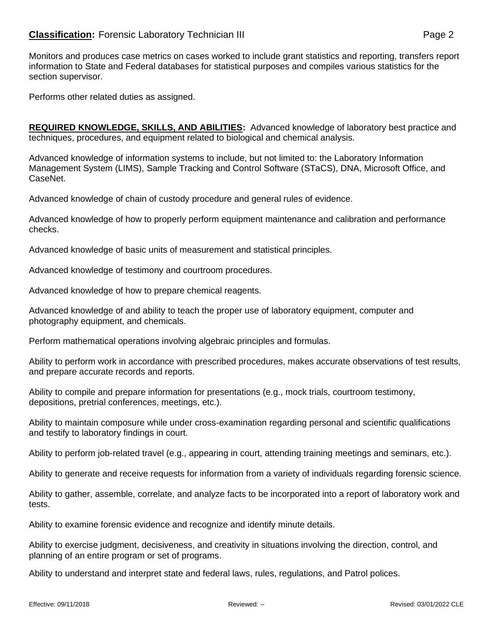## **Classification:** Forensic Laboratory Technician III **Classification:** Page 2

Monitors and produces case metrics on cases worked to include grant statistics and reporting, transfers report information to State and Federal databases for statistical purposes and compiles various statistics for the section supervisor.

Performs other related duties as assigned.

**REQUIRED KNOWLEDGE, SKILLS, AND ABILITIES:** Advanced knowledge of laboratory best practice and techniques, procedures, and equipment related to biological and chemical analysis.

Advanced knowledge of information systems to include, but not limited to: the Laboratory Information Management System (LIMS), Sample Tracking and Control Software (STaCS), DNA, Microsoft Office, and CaseNet.

Advanced knowledge of chain of custody procedure and general rules of evidence.

Advanced knowledge of how to properly perform equipment maintenance and calibration and performance checks.

Advanced knowledge of basic units of measurement and statistical principles.

Advanced knowledge of testimony and courtroom procedures.

Advanced knowledge of how to prepare chemical reagents.

Advanced knowledge of and ability to teach the proper use of laboratory equipment, computer and photography equipment, and chemicals.

Perform mathematical operations involving algebraic principles and formulas.

Ability to perform work in accordance with prescribed procedures, makes accurate observations of test results, and prepare accurate records and reports.

Ability to compile and prepare information for presentations (e.g., mock trials, courtroom testimony, depositions, pretrial conferences, meetings, etc.).

Ability to maintain composure while under cross-examination regarding personal and scientific qualifications and testify to laboratory findings in court.

Ability to perform job-related travel (e.g., appearing in court, attending training meetings and seminars, etc.).

Ability to generate and receive requests for information from a variety of individuals regarding forensic science.

Ability to gather, assemble, correlate, and analyze facts to be incorporated into a report of laboratory work and tests.

Ability to examine forensic evidence and recognize and identify minute details.

Ability to exercise judgment, decisiveness, and creativity in situations involving the direction, control, and planning of an entire program or set of programs.

Ability to understand and interpret state and federal laws, rules, regulations, and Patrol polices.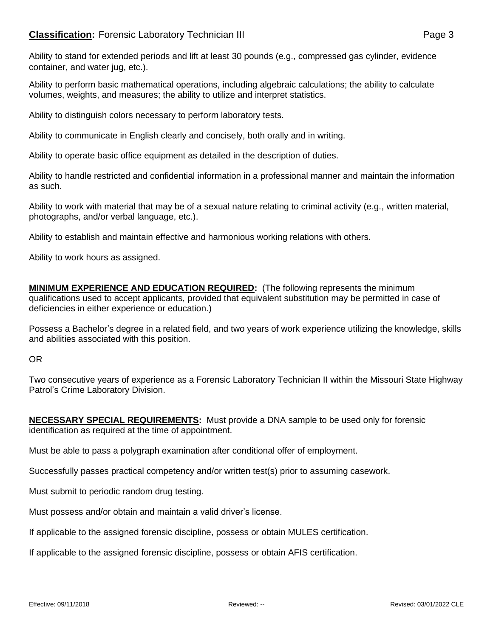## **Classification:** Forensic Laboratory Technician III **Classification:** Page 3

Ability to stand for extended periods and lift at least 30 pounds (e.g., compressed gas cylinder, evidence container, and water jug, etc.).

Ability to perform basic mathematical operations, including algebraic calculations; the ability to calculate volumes, weights, and measures; the ability to utilize and interpret statistics.

Ability to distinguish colors necessary to perform laboratory tests.

Ability to communicate in English clearly and concisely, both orally and in writing.

Ability to operate basic office equipment as detailed in the description of duties.

Ability to handle restricted and confidential information in a professional manner and maintain the information as such.

Ability to work with material that may be of a sexual nature relating to criminal activity (e.g., written material, photographs, and/or verbal language, etc.).

Ability to establish and maintain effective and harmonious working relations with others.

Ability to work hours as assigned.

**MINIMUM EXPERIENCE AND EDUCATION REQUIRED:** (The following represents the minimum qualifications used to accept applicants, provided that equivalent substitution may be permitted in case of deficiencies in either experience or education.)

Possess a Bachelor's degree in a related field, and two years of work experience utilizing the knowledge, skills and abilities associated with this position.

OR

Two consecutive years of experience as a Forensic Laboratory Technician II within the Missouri State Highway Patrol's Crime Laboratory Division.

**NECESSARY SPECIAL REQUIREMENTS:** Must provide a DNA sample to be used only for forensic identification as required at the time of appointment.

Must be able to pass a polygraph examination after conditional offer of employment.

Successfully passes practical competency and/or written test(s) prior to assuming casework.

Must submit to periodic random drug testing.

Must possess and/or obtain and maintain a valid driver's license.

If applicable to the assigned forensic discipline, possess or obtain MULES certification.

If applicable to the assigned forensic discipline, possess or obtain AFIS certification.